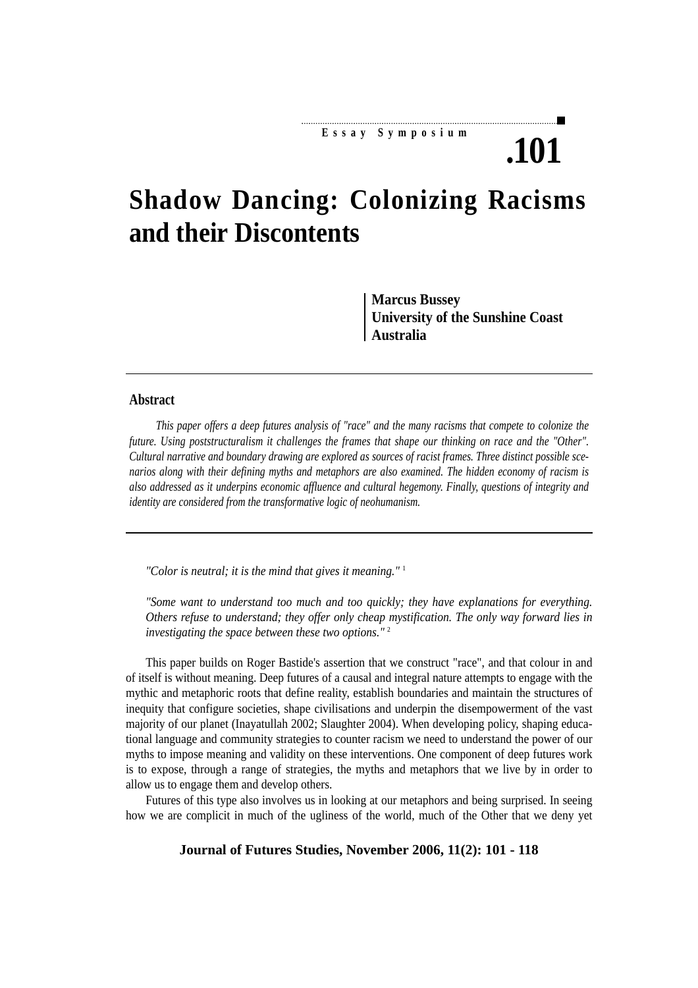## **Essay Symposium**

**.101**

# **Shadow Dancing: Colonizing Racisms and their Discontents**

**Marcus Bussey University of the Sunshine Coast Australia**

#### **Abstract**

*This paper offers a deep futures analysis of "race" and the many racisms that compete to colonize the future. Using poststructuralism it challenges the frames that shape our thinking on race and the "Other". Cultural narrative and boundary drawing are explored as sources of racist frames. Three distinct possible scenarios along with their defining myths and metaphors are also examined. The hidden economy of racism is also addressed as it underpins economic affluence and cultural hegemony. Finally, questions of integrity and identity are considered from the transformative logic of neohumanism.*

*"Color is neutral; it is the mind that gives it meaning."* <sup>1</sup>

*"Some want to understand too much and too quickly; they have explanations for everything. Others refuse to understand; they offer only cheap mystification. The only way forward lies in investigating the space between these two options."* <sup>2</sup>

This paper builds on Roger Bastide's assertion that we construct "race", and that colour in and of itself is without meaning. Deep futures of a causal and integral nature attempts to engage with the mythic and metaphoric roots that define reality, establish boundaries and maintain the structures of inequity that configure societies, shape civilisations and underpin the disempowerment of the vast majority of our planet (Inayatullah 2002; Slaughter 2004). When developing policy, shaping educational language and community strategies to counter racism we need to understand the power of our myths to impose meaning and validity on these interventions. One component of deep futures work is to expose, through a range of strategies, the myths and metaphors that we live by in order to allow us to engage them and develop others.

Futures of this type also involves us in looking at our metaphors and being surprised. In seeing how we are complicit in much of the ugliness of the world, much of the Other that we deny yet

**Journal of Futures Studies, November 2006, 11(2): 101 - 118**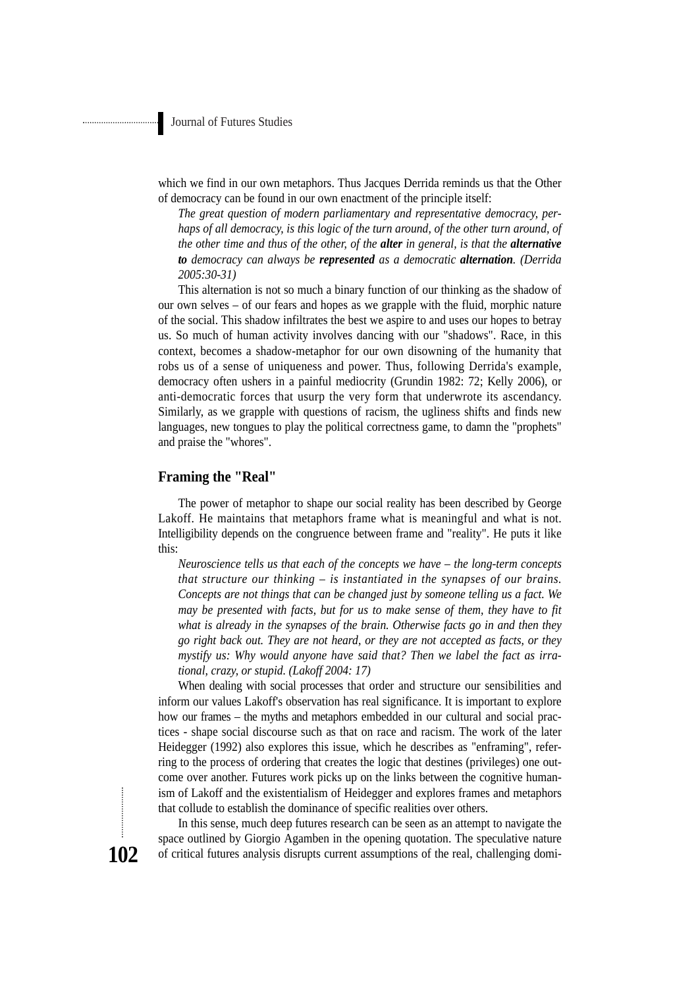which we find in our own metaphors. Thus Jacques Derrida reminds us that the Other of democracy can be found in our own enactment of the principle itself:

*The great question of modern parliamentary and representative democracy, perhaps of all democracy, is this logic of the turn around, of the other turn around, of the other time and thus of the other, of the alter in general, is that the alternative to democracy can always be represented as a democratic alternation. (Derrida 2005:30-31)*

This alternation is not so much a binary function of our thinking as the shadow of our own selves – of our fears and hopes as we grapple with the fluid, morphic nature of the social. This shadow infiltrates the best we aspire to and uses our hopes to betray us. So much of human activity involves dancing with our "shadows". Race, in this context, becomes a shadow-metaphor for our own disowning of the humanity that robs us of a sense of uniqueness and power. Thus, following Derrida's example, democracy often ushers in a painful mediocrity (Grundin 1982: 72; Kelly 2006), or anti-democratic forces that usurp the very form that underwrote its ascendancy. Similarly, as we grapple with questions of racism, the ugliness shifts and finds new languages, new tongues to play the political correctness game, to damn the "prophets" and praise the "whores".

#### **Framing the "Real"**

The power of metaphor to shape our social reality has been described by George Lakoff. He maintains that metaphors frame what is meaningful and what is not. Intelligibility depends on the congruence between frame and "reality". He puts it like this:

*Neuroscience tells us that each of the concepts we have – the long-term concepts that structure our thinking – is instantiated in the synapses of our brains. Concepts are not things that can be changed just by someone telling us a fact. We may be presented with facts, but for us to make sense of them, they have to fit what is already in the synapses of the brain. Otherwise facts go in and then they go right back out. They are not heard, or they are not accepted as facts, or they mystify us: Why would anyone have said that? Then we label the fact as irrational, crazy, or stupid. (Lakoff 2004: 17)*

When dealing with social processes that order and structure our sensibilities and inform our values Lakoff's observation has real significance. It is important to explore how our frames – the myths and metaphors embedded in our cultural and social practices - shape social discourse such as that on race and racism. The work of the later Heidegger (1992) also explores this issue, which he describes as "enframing", referring to the process of ordering that creates the logic that destines (privileges) one outcome over another. Futures work picks up on the links between the cognitive humanism of Lakoff and the existentialism of Heidegger and explores frames and metaphors that collude to establish the dominance of specific realities over others.

In this sense, much deep futures research can be seen as an attempt to navigate the space outlined by Giorgio Agamben in the opening quotation. The speculative nature of critical futures analysis disrupts current assumptions of the real, challenging domi-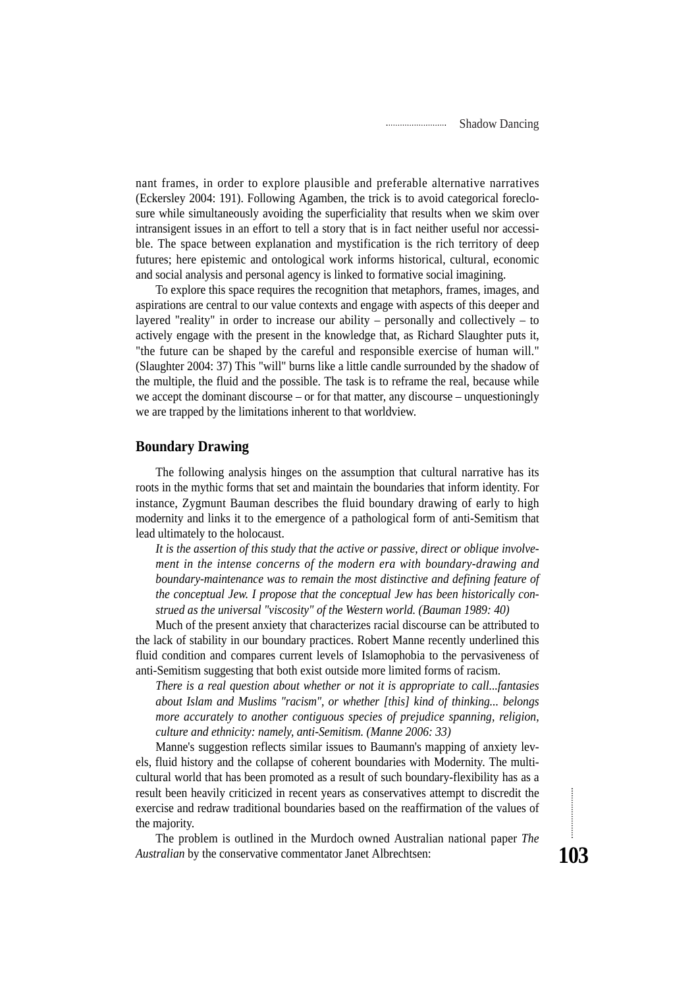nant frames, in order to explore plausible and preferable alternative narratives (Eckersley 2004: 191). Following Agamben, the trick is to avoid categorical foreclosure while simultaneously avoiding the superficiality that results when we skim over intransigent issues in an effort to tell a story that is in fact neither useful nor accessible. The space between explanation and mystification is the rich territory of deep futures; here epistemic and ontological work informs historical, cultural, economic and social analysis and personal agency is linked to formative social imagining.

To explore this space requires the recognition that metaphors, frames, images, and aspirations are central to our value contexts and engage with aspects of this deeper and layered "reality" in order to increase our ability – personally and collectively – to actively engage with the present in the knowledge that, as Richard Slaughter puts it, "the future can be shaped by the careful and responsible exercise of human will." (Slaughter 2004: 37) This "will" burns like a little candle surrounded by the shadow of the multiple, the fluid and the possible. The task is to reframe the real, because while we accept the dominant discourse – or for that matter, any discourse – unquestioningly we are trapped by the limitations inherent to that worldview.

## **Boundary Drawing**

The following analysis hinges on the assumption that cultural narrative has its roots in the mythic forms that set and maintain the boundaries that inform identity. For instance, Zygmunt Bauman describes the fluid boundary drawing of early to high modernity and links it to the emergence of a pathological form of anti-Semitism that lead ultimately to the holocaust.

*It is the assertion of this study that the active or passive, direct or oblique involvement in the intense concerns of the modern era with boundary-drawing and boundary-maintenance was to remain the most distinctive and defining feature of the conceptual Jew. I propose that the conceptual Jew has been historically construed as the universal "viscosity" of the Western world. (Bauman 1989: 40)*

Much of the present anxiety that characterizes racial discourse can be attributed to the lack of stability in our boundary practices. Robert Manne recently underlined this fluid condition and compares current levels of Islamophobia to the pervasiveness of anti-Semitism suggesting that both exist outside more limited forms of racism.

*There is a real question about whether or not it is appropriate to call...fantasies about Islam and Muslims "racism", or whether [this] kind of thinking... belongs more accurately to another contiguous species of prejudice spanning, religion, culture and ethnicity: namely, anti-Semitism. (Manne 2006: 33)*

Manne's suggestion reflects similar issues to Baumann's mapping of anxiety levels, fluid history and the collapse of coherent boundaries with Modernity. The multicultural world that has been promoted as a result of such boundary-flexibility has as a result been heavily criticized in recent years as conservatives attempt to discredit the exercise and redraw traditional boundaries based on the reaffirmation of the values of the majority.

The problem is outlined in the Murdoch owned Australian national paper *The Australian* by the conservative commentator Janet Albrechtsen: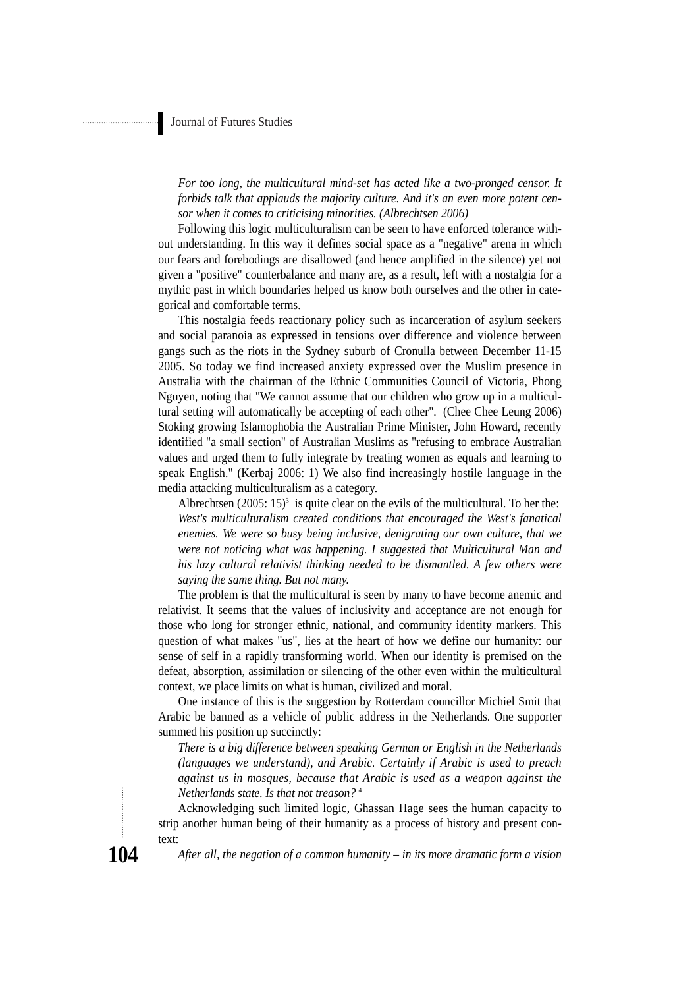*For too long, the multicultural mind-set has acted like a two-pronged censor. It forbids talk that applauds the majority culture. And it's an even more potent censor when it comes to criticising minorities. (Albrechtsen 2006)*

Following this logic multiculturalism can be seen to have enforced tolerance without understanding. In this way it defines social space as a "negative" arena in which our fears and forebodings are disallowed (and hence amplified in the silence) yet not given a "positive" counterbalance and many are, as a result, left with a nostalgia for a mythic past in which boundaries helped us know both ourselves and the other in categorical and comfortable terms.

This nostalgia feeds reactionary policy such as incarceration of asylum seekers and social paranoia as expressed in tensions over difference and violence between gangs such as the riots in the Sydney suburb of Cronulla between December 11-15 2005. So today we find increased anxiety expressed over the Muslim presence in Australia with the chairman of the Ethnic Communities Council of Victoria, Phong Nguyen, noting that "We cannot assume that our children who grow up in a multicultural setting will automatically be accepting of each other". (Chee Chee Leung 2006) Stoking growing Islamophobia the Australian Prime Minister, John Howard, recently identified "a small section" of Australian Muslims as "refusing to embrace Australian values and urged them to fully integrate by treating women as equals and learning to speak English." (Kerbaj 2006: 1) We also find increasingly hostile language in the media attacking multiculturalism as a category.

Albrechtsen  $(2005: 15)^3$  is quite clear on the evils of the multicultural. To her the: *West's multiculturalism created conditions that encouraged the West's fanatical enemies. We were so busy being inclusive, denigrating our own culture, that we were not noticing what was happening. I suggested that Multicultural Man and his lazy cultural relativist thinking needed to be dismantled. A few others were saying the same thing. But not many.*

The problem is that the multicultural is seen by many to have become anemic and relativist. It seems that the values of inclusivity and acceptance are not enough for those who long for stronger ethnic, national, and community identity markers. This question of what makes "us", lies at the heart of how we define our humanity: our sense of self in a rapidly transforming world. When our identity is premised on the defeat, absorption, assimilation or silencing of the other even within the multicultural context, we place limits on what is human, civilized and moral.

One instance of this is the suggestion by Rotterdam councillor Michiel Smit that Arabic be banned as a vehicle of public address in the Netherlands. One supporter summed his position up succinctly:

*There is a big difference between speaking German or English in the Netherlands (languages we understand), and Arabic. Certainly if Arabic is used to preach against us in mosques, because that Arabic is used as a weapon against the Netherlands state. Is that not treason?* <sup>4</sup>

Acknowledging such limited logic, Ghassan Hage sees the human capacity to strip another human being of their humanity as a process of history and present context:

**104**

*After all, the negation of a common humanity – in its more dramatic form a vision*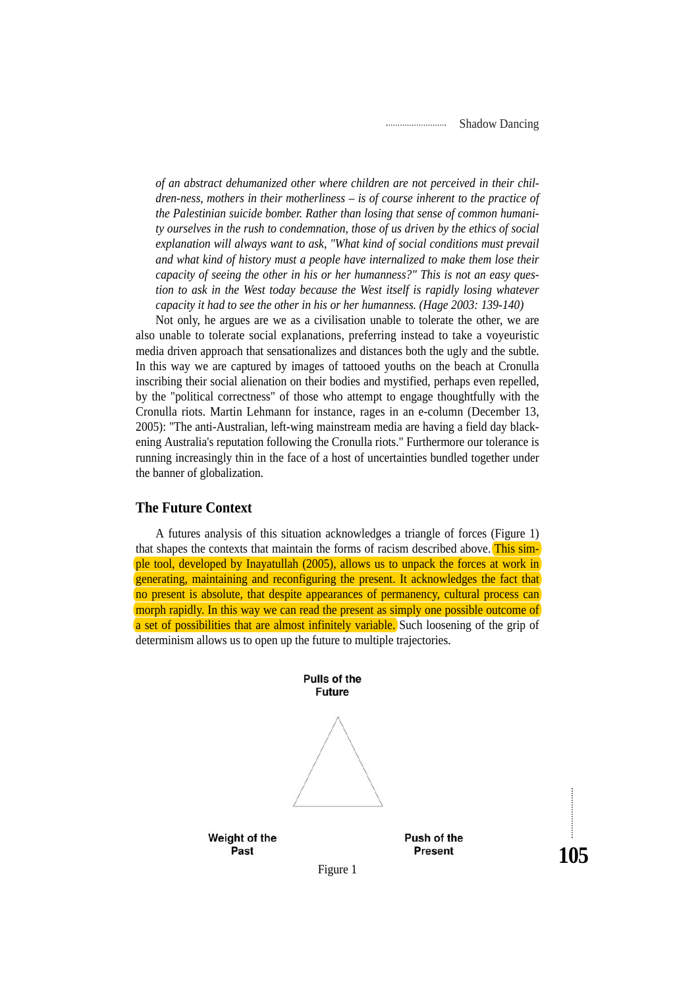*of an abstract dehumanized other where children are not perceived in their children-ness, mothers in their motherliness – is of course inherent to the practice of the Palestinian suicide bomber. Rather than losing that sense of common humanity ourselves in the rush to condemnation, those of us driven by the ethics of social explanation will always want to ask, "What kind of social conditions must prevail and what kind of history must a people have internalized to make them lose their capacity of seeing the other in his or her humanness?" This is not an easy question to ask in the West today because the West itself is rapidly losing whatever capacity it had to see the other in his or her humanness. (Hage 2003: 139-140)*

Not only, he argues are we as a civilisation unable to tolerate the other, we are also unable to tolerate social explanations, preferring instead to take a voyeuristic media driven approach that sensationalizes and distances both the ugly and the subtle. In this way we are captured by images of tattooed youths on the beach at Cronulla inscribing their social alienation on their bodies and mystified, perhaps even repelled, by the "political correctness" of those who attempt to engage thoughtfully with the Cronulla riots. Martin Lehmann for instance, rages in an e-column (December 13, 2005): "The anti-Australian, left-wing mainstream media are having a field day blackening Australia's reputation following the Cronulla riots." Furthermore our tolerance is running increasingly thin in the face of a host of uncertainties bundled together under the banner of globalization.

## **The Future Context**

A futures analysis of this situation acknowledges a triangle of forces (Figure 1) that shapes the contexts that maintain the forms of racism described above. This simple tool, developed by Inayatullah (2005), allows us to unpack the forces at work in generating, maintaining and reconfiguring the present. It acknowledges the fact that no present is absolute, that despite appearances of permanency, cultural process can morph rapidly. In this way we can read the present as simply one possible outcome of a set of possibilities that are almost infinitely variable. Such loosening of the grip of determinism allows us to open up the future to multiple trajectories.

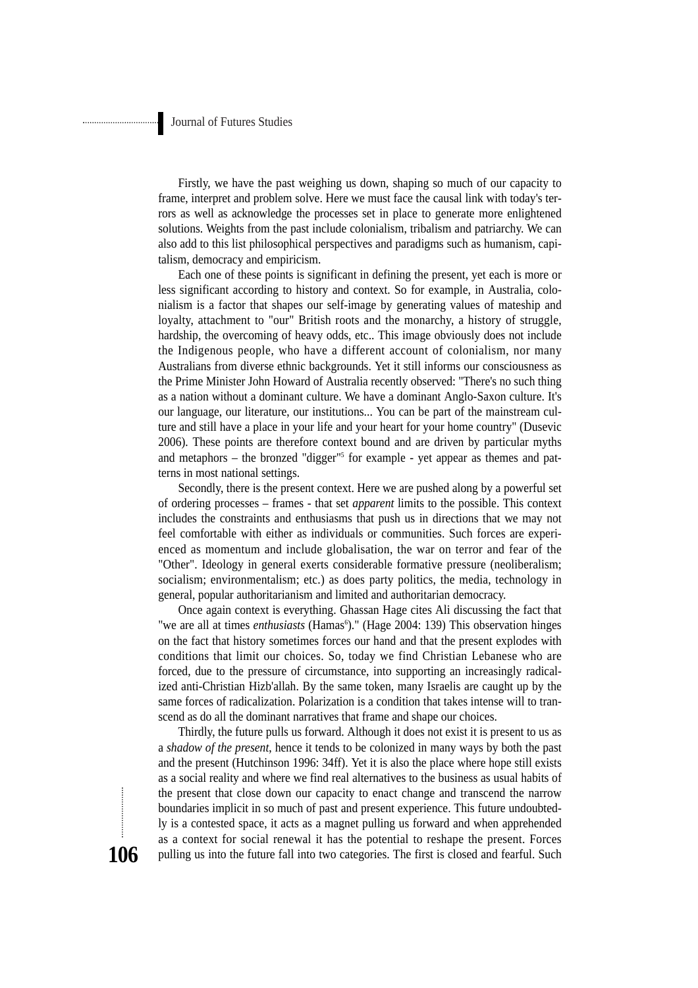Firstly, we have the past weighing us down, shaping so much of our capacity to frame, interpret and problem solve. Here we must face the causal link with today's terrors as well as acknowledge the processes set in place to generate more enlightened solutions. Weights from the past include colonialism, tribalism and patriarchy. We can also add to this list philosophical perspectives and paradigms such as humanism, capitalism, democracy and empiricism.

Each one of these points is significant in defining the present, yet each is more or less significant according to history and context. So for example, in Australia, colonialism is a factor that shapes our self-image by generating values of mateship and loyalty, attachment to "our" British roots and the monarchy, a history of struggle, hardship, the overcoming of heavy odds, etc.. This image obviously does not include the Indigenous people, who have a different account of colonialism, nor many Australians from diverse ethnic backgrounds. Yet it still informs our consciousness as the Prime Minister John Howard of Australia recently observed: "There's no such thing as a nation without a dominant culture. We have a dominant Anglo-Saxon culture. It's our language, our literature, our institutions... You can be part of the mainstream culture and still have a place in your life and your heart for your home country" (Dusevic 2006). These points are therefore context bound and are driven by particular myths and metaphors – the bronzed "digger"5 for example - yet appear as themes and patterns in most national settings.

Secondly, there is the present context. Here we are pushed along by a powerful set of ordering processes – frames - that set *apparent* limits to the possible. This context includes the constraints and enthusiasms that push us in directions that we may not feel comfortable with either as individuals or communities. Such forces are experienced as momentum and include globalisation, the war on terror and fear of the "Other". Ideology in general exerts considerable formative pressure (neoliberalism; socialism; environmentalism; etc.) as does party politics, the media, technology in general, popular authoritarianism and limited and authoritarian democracy.

Once again context is everything. Ghassan Hage cites Ali discussing the fact that "we are all at times *enthusiasts* (Hamas<sup>6</sup>)." (Hage 2004: 139) This observation hinges on the fact that history sometimes forces our hand and that the present explodes with conditions that limit our choices. So, today we find Christian Lebanese who are forced, due to the pressure of circumstance, into supporting an increasingly radicalized anti-Christian Hizb'allah. By the same token, many Israelis are caught up by the same forces of radicalization. Polarization is a condition that takes intense will to transcend as do all the dominant narratives that frame and shape our choices.

Thirdly, the future pulls us forward. Although it does not exist it is present to us as a *shadow of the present*, hence it tends to be colonized in many ways by both the past and the present (Hutchinson 1996: 34ff). Yet it is also the place where hope still exists as a social reality and where we find real alternatives to the business as usual habits of the present that close down our capacity to enact change and transcend the narrow boundaries implicit in so much of past and present experience. This future undoubtedly is a contested space, it acts as a magnet pulling us forward and when apprehended as a context for social renewal it has the potential to reshape the present. Forces pulling us into the future fall into two categories. The first is closed and fearful. Such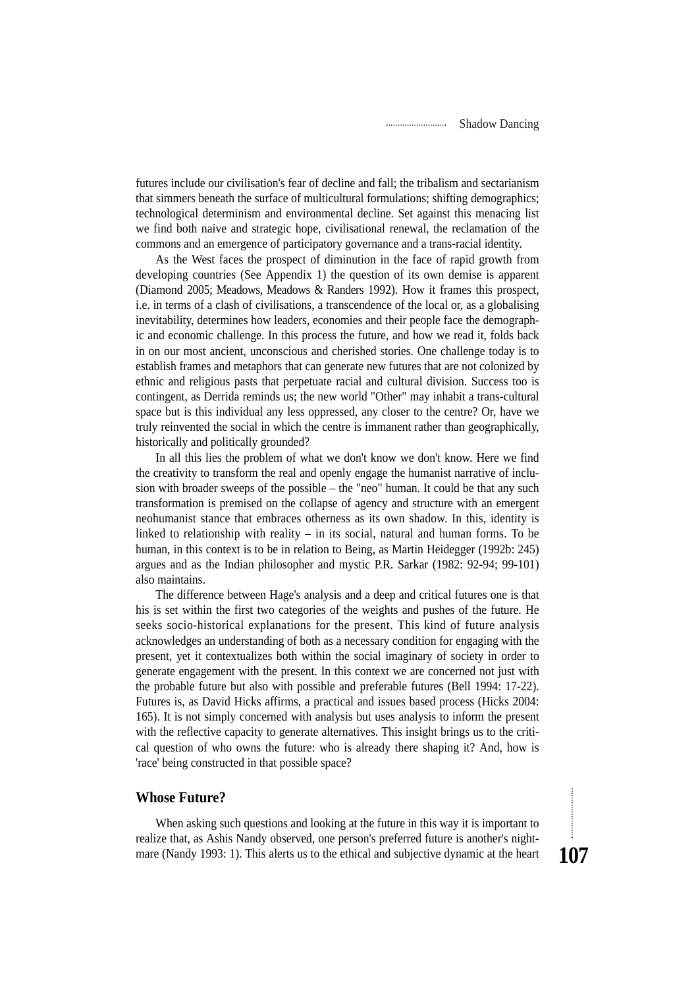futures include our civilisation's fear of decline and fall; the tribalism and sectarianism that simmers beneath the surface of multicultural formulations; shifting demographics; technological determinism and environmental decline. Set against this menacing list we find both naive and strategic hope, civilisational renewal, the reclamation of the commons and an emergence of participatory governance and a trans-racial identity.

As the West faces the prospect of diminution in the face of rapid growth from developing countries (See Appendix 1) the question of its own demise is apparent (Diamond 2005; Meadows, Meadows & Randers 1992). How it frames this prospect, i.e. in terms of a clash of civilisations, a transcendence of the local or, as a globalising inevitability, determines how leaders, economies and their people face the demographic and economic challenge. In this process the future, and how we read it, folds back in on our most ancient, unconscious and cherished stories. One challenge today is to establish frames and metaphors that can generate new futures that are not colonized by ethnic and religious pasts that perpetuate racial and cultural division. Success too is contingent, as Derrida reminds us; the new world "Other" may inhabit a trans-cultural space but is this individual any less oppressed, any closer to the centre? Or, have we truly reinvented the social in which the centre is immanent rather than geographically, historically and politically grounded?

In all this lies the problem of what we don't know we don't know. Here we find the creativity to transform the real and openly engage the humanist narrative of inclusion with broader sweeps of the possible – the "neo" human. It could be that any such transformation is premised on the collapse of agency and structure with an emergent neohumanist stance that embraces otherness as its own shadow. In this, identity is linked to relationship with reality – in its social, natural and human forms. To be human, in this context is to be in relation to Being, as Martin Heidegger (1992b: 245) argues and as the Indian philosopher and mystic P.R. Sarkar (1982: 92-94; 99-101) also maintains.

The difference between Hage's analysis and a deep and critical futures one is that his is set within the first two categories of the weights and pushes of the future. He seeks socio-historical explanations for the present. This kind of future analysis acknowledges an understanding of both as a necessary condition for engaging with the present, yet it contextualizes both within the social imaginary of society in order to generate engagement with the present. In this context we are concerned not just with the probable future but also with possible and preferable futures (Bell 1994: 17-22). Futures is, as David Hicks affirms, a practical and issues based process (Hicks 2004: 165). It is not simply concerned with analysis but uses analysis to inform the present with the reflective capacity to generate alternatives. This insight brings us to the critical question of who owns the future: who is already there shaping it? And, how is 'race' being constructed in that possible space?

## **Whose Future?**

When asking such questions and looking at the future in this way it is important to realize that, as Ashis Nandy observed, one person's preferred future is another's nightmare (Nandy 1993: 1). This alerts us to the ethical and subjective dynamic at the heart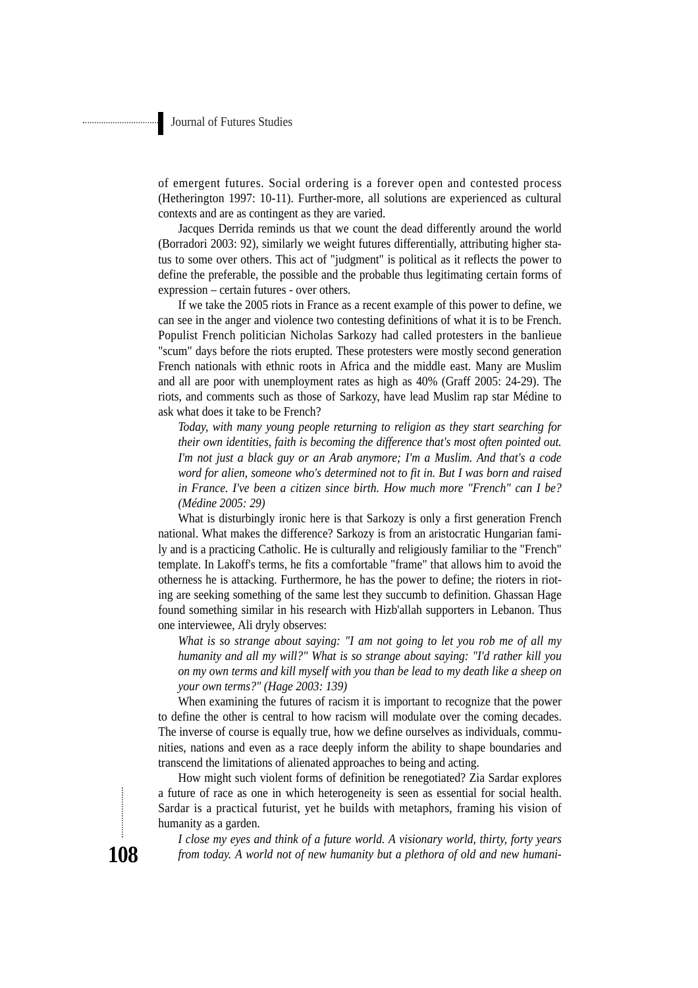of emergent futures. Social ordering is a forever open and contested process (Hetherington 1997: 10-11). Further-more, all solutions are experienced as cultural contexts and are as contingent as they are varied.

Jacques Derrida reminds us that we count the dead differently around the world (Borradori 2003: 92), similarly we weight futures differentially, attributing higher status to some over others. This act of "judgment" is political as it reflects the power to define the preferable, the possible and the probable thus legitimating certain forms of expression – certain futures - over others.

If we take the 2005 riots in France as a recent example of this power to define, we can see in the anger and violence two contesting definitions of what it is to be French. Populist French politician Nicholas Sarkozy had called protesters in the banlieue "scum" days before the riots erupted. These protesters were mostly second generation French nationals with ethnic roots in Africa and the middle east. Many are Muslim and all are poor with unemployment rates as high as 40% (Graff 2005: 24-29). The riots, and comments such as those of Sarkozy, have lead Muslim rap star Médine to ask what does it take to be French?

*Today, with many young people returning to religion as they start searching for their own identities, faith is becoming the difference that's most often pointed out. I'm not just a black guy or an Arab anymore; I'm a Muslim. And that's a code word for alien, someone who's determined not to fit in. But I was born and raised in France. I've been a citizen since birth. How much more "French" can I be? (Médine 2005: 29)*

What is disturbingly ironic here is that Sarkozy is only a first generation French national. What makes the difference? Sarkozy is from an aristocratic Hungarian family and is a practicing Catholic. He is culturally and religiously familiar to the "French" template. In Lakoff's terms, he fits a comfortable "frame" that allows him to avoid the otherness he is attacking. Furthermore, he has the power to define; the rioters in rioting are seeking something of the same lest they succumb to definition. Ghassan Hage found something similar in his research with Hizb'allah supporters in Lebanon. Thus one interviewee, Ali dryly observes:

*What is so strange about saying: "I am not going to let you rob me of all my humanity and all my will?" What is so strange about saying: "I'd rather kill you on my own terms and kill myself with you than be lead to my death like a sheep on your own terms?" (Hage 2003: 139)*

When examining the futures of racism it is important to recognize that the power to define the other is central to how racism will modulate over the coming decades. The inverse of course is equally true, how we define ourselves as individuals, communities, nations and even as a race deeply inform the ability to shape boundaries and transcend the limitations of alienated approaches to being and acting.

How might such violent forms of definition be renegotiated? Zia Sardar explores a future of race as one in which heterogeneity is seen as essential for social health. Sardar is a practical futurist, yet he builds with metaphors, framing his vision of humanity as a garden.

*I close my eyes and think of a future world. A visionary world, thirty, forty years from today. A world not of new humanity but a plethora of old and new humani-*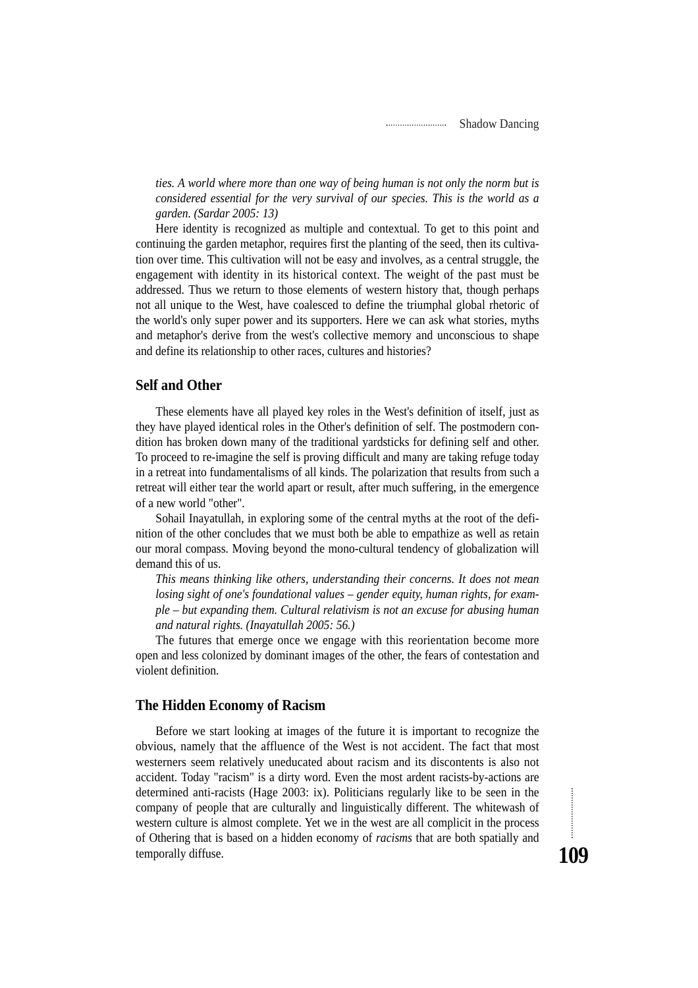*ties. A world where more than one way of being human is not only the norm but is considered essential for the very survival of our species. This is the world as a garden. (Sardar 2005: 13)*

Here identity is recognized as multiple and contextual. To get to this point and continuing the garden metaphor, requires first the planting of the seed, then its cultivation over time. This cultivation will not be easy and involves, as a central struggle, the engagement with identity in its historical context. The weight of the past must be addressed. Thus we return to those elements of western history that, though perhaps not all unique to the West, have coalesced to define the triumphal global rhetoric of the world's only super power and its supporters. Here we can ask what stories, myths and metaphor's derive from the west's collective memory and unconscious to shape and define its relationship to other races, cultures and histories?

## **Self and Other**

These elements have all played key roles in the West's definition of itself, just as they have played identical roles in the Other's definition of self. The postmodern condition has broken down many of the traditional yardsticks for defining self and other. To proceed to re-imagine the self is proving difficult and many are taking refuge today in a retreat into fundamentalisms of all kinds. The polarization that results from such a retreat will either tear the world apart or result, after much suffering, in the emergence of a new world "other".

Sohail Inayatullah, in exploring some of the central myths at the root of the definition of the other concludes that we must both be able to empathize as well as retain our moral compass. Moving beyond the mono-cultural tendency of globalization will demand this of us.

*This means thinking like others, understanding their concerns. It does not mean losing sight of one's foundational values – gender equity, human rights, for example – but expanding them. Cultural relativism is not an excuse for abusing human and natural rights. (Inayatullah 2005: 56.)*

The futures that emerge once we engage with this reorientation become more open and less colonized by dominant images of the other, the fears of contestation and violent definition.

### **The Hidden Economy of Racism**

Before we start looking at images of the future it is important to recognize the obvious, namely that the affluence of the West is not accident. The fact that most westerners seem relatively uneducated about racism and its discontents is also not accident. Today "racism" is a dirty word. Even the most ardent racists-by-actions are determined anti-racists (Hage 2003: ix). Politicians regularly like to be seen in the company of people that are culturally and linguistically different. The whitewash of western culture is almost complete. Yet we in the west are all complicit in the process of Othering that is based on a hidden economy of *racisms* that are both spatially and temporally diffuse.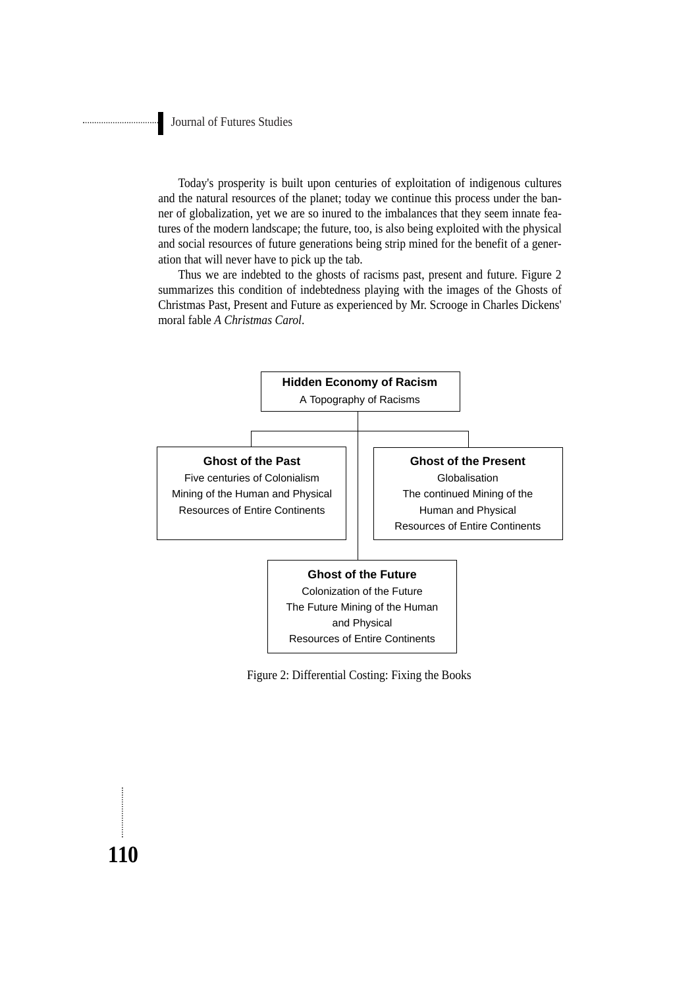...........................

Today's prosperity is built upon centuries of exploitation of indigenous cultures and the natural resources of the planet; today we continue this process under the banner of globalization, yet we are so inured to the imbalances that they seem innate features of the modern landscape; the future, too, is also being exploited with the physical and social resources of future generations being strip mined for the benefit of a generation that will never have to pick up the tab.

Thus we are indebted to the ghosts of racisms past, present and future. Figure 2 summarizes this condition of indebtedness playing with the images of the Ghosts of Christmas Past, Present and Future as experienced by Mr. Scrooge in Charles Dickens' moral fable *A Christmas Carol*.



Figure 2: Differential Costing: Fixing the Books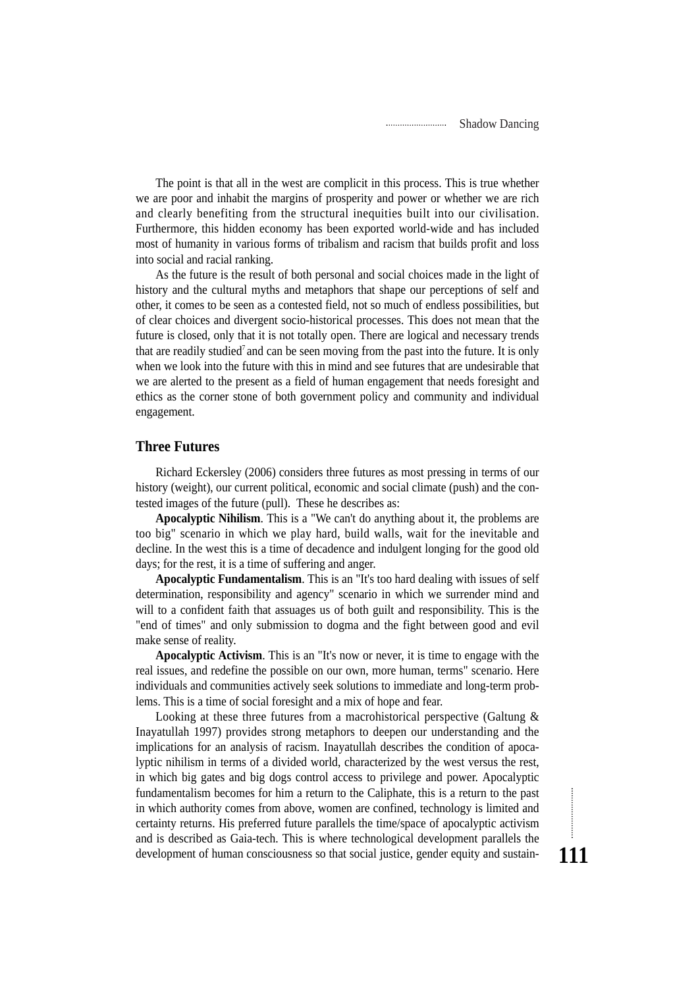The point is that all in the west are complicit in this process. This is true whether we are poor and inhabit the margins of prosperity and power or whether we are rich and clearly benefiting from the structural inequities built into our civilisation. Furthermore, this hidden economy has been exported world-wide and has included most of humanity in various forms of tribalism and racism that builds profit and loss into social and racial ranking.

As the future is the result of both personal and social choices made in the light of history and the cultural myths and metaphors that shape our perceptions of self and other, it comes to be seen as a contested field, not so much of endless possibilities, but of clear choices and divergent socio-historical processes. This does not mean that the future is closed, only that it is not totally open. There are logical and necessary trends that are readily studied<sup>7</sup> and can be seen moving from the past into the future. It is only when we look into the future with this in mind and see futures that are undesirable that we are alerted to the present as a field of human engagement that needs foresight and ethics as the corner stone of both government policy and community and individual engagement.

#### **Three Futures**

Richard Eckersley (2006) considers three futures as most pressing in terms of our history (weight), our current political, economic and social climate (push) and the contested images of the future (pull). These he describes as:

**Apocalyptic Nihilism**. This is a "We can't do anything about it, the problems are too big" scenario in which we play hard, build walls, wait for the inevitable and decline. In the west this is a time of decadence and indulgent longing for the good old days; for the rest, it is a time of suffering and anger.

**Apocalyptic Fundamentalism**. This is an "It's too hard dealing with issues of self determination, responsibility and agency" scenario in which we surrender mind and will to a confident faith that assuages us of both guilt and responsibility. This is the "end of times" and only submission to dogma and the fight between good and evil make sense of reality.

**Apocalyptic Activism**. This is an "It's now or never, it is time to engage with the real issues, and redefine the possible on our own, more human, terms" scenario. Here individuals and communities actively seek solutions to immediate and long-term problems. This is a time of social foresight and a mix of hope and fear.

Looking at these three futures from a macrohistorical perspective (Galtung  $\&$ Inayatullah 1997) provides strong metaphors to deepen our understanding and the implications for an analysis of racism. Inayatullah describes the condition of apocalyptic nihilism in terms of a divided world, characterized by the west versus the rest, in which big gates and big dogs control access to privilege and power. Apocalyptic fundamentalism becomes for him a return to the Caliphate, this is a return to the past in which authority comes from above, women are confined, technology is limited and certainty returns. His preferred future parallels the time/space of apocalyptic activism and is described as Gaia-tech. This is where technological development parallels the development of human consciousness so that social justice, gender equity and sustain-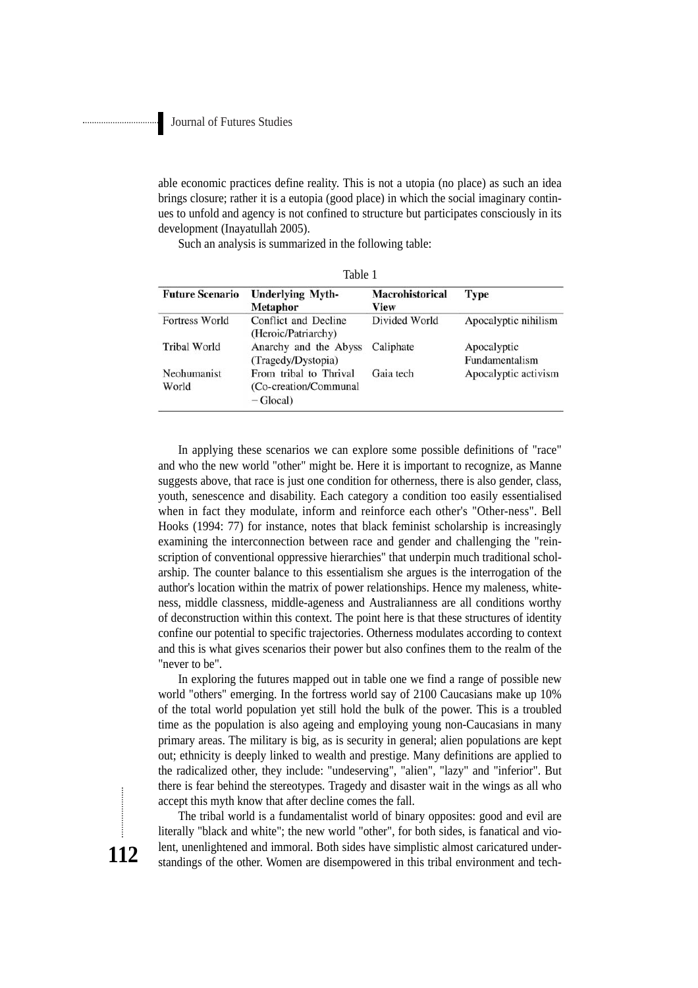able economic practices define reality. This is not a utopia (no place) as such an idea brings closure; rather it is a eutopia (good place) in which the social imaginary continues to unfold and agency is not confined to structure but participates consciously in its development (Inayatullah 2005).

Table 1

Such an analysis is summarized in the following table:

| <b>Future Scenario</b> | <b>Underlying Myth-</b><br><b>Metaphor</b>                     | <b>Macrohistorical</b><br>View | Type                          |
|------------------------|----------------------------------------------------------------|--------------------------------|-------------------------------|
| Fortress World         | Conflict and Decline<br>(Heroic/Patriarchy)                    | Divided World                  | Apocalyptic nihilism          |
| <b>Tribal World</b>    | Anarchy and the Abyss<br>(Tragedy/Dystopia)                    | Caliphate                      | Apocalyptic<br>Fundamentalism |
| Neohumanist<br>World   | From tribal to Thrival<br>(Co-creation/Communal)<br>$-Glocal)$ | Gaia tech                      | Apocalyptic activism          |

In applying these scenarios we can explore some possible definitions of "race" and who the new world "other" might be. Here it is important to recognize, as Manne suggests above, that race is just one condition for otherness, there is also gender, class, youth, senescence and disability. Each category a condition too easily essentialised when in fact they modulate, inform and reinforce each other's "Other-ness". Bell Hooks (1994: 77) for instance, notes that black feminist scholarship is increasingly examining the interconnection between race and gender and challenging the "reinscription of conventional oppressive hierarchies" that underpin much traditional scholarship. The counter balance to this essentialism she argues is the interrogation of the author's location within the matrix of power relationships. Hence my maleness, whiteness, middle classness, middle-ageness and Australianness are all conditions worthy of deconstruction within this context. The point here is that these structures of identity confine our potential to specific trajectories. Otherness modulates according to context and this is what gives scenarios their power but also confines them to the realm of the "never to be".

In exploring the futures mapped out in table one we find a range of possible new world "others" emerging. In the fortress world say of 2100 Caucasians make up 10% of the total world population yet still hold the bulk of the power. This is a troubled time as the population is also ageing and employing young non-Caucasians in many primary areas. The military is big, as is security in general; alien populations are kept out; ethnicity is deeply linked to wealth and prestige. Many definitions are applied to the radicalized other, they include: "undeserving", "alien", "lazy" and "inferior". But there is fear behind the stereotypes. Tragedy and disaster wait in the wings as all who accept this myth know that after decline comes the fall.

The tribal world is a fundamentalist world of binary opposites: good and evil are literally "black and white"; the new world "other", for both sides, is fanatical and violent, unenlightened and immoral. Both sides have simplistic almost caricatured understandings of the other. Women are disempowered in this tribal environment and tech-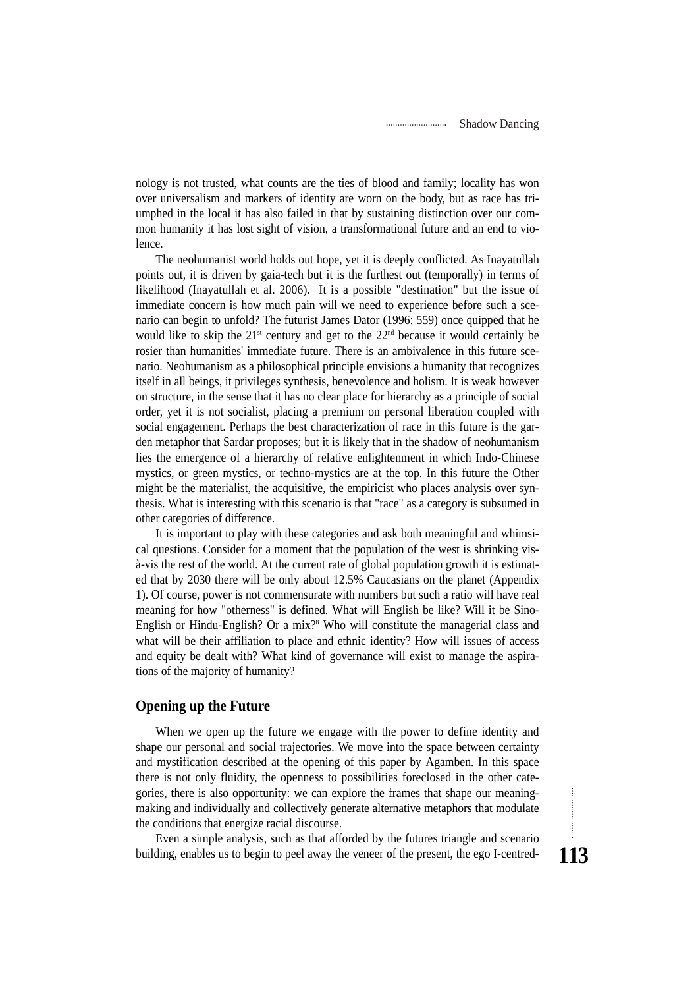nology is not trusted, what counts are the ties of blood and family; locality has won over universalism and markers of identity are worn on the body, but as race has triumphed in the local it has also failed in that by sustaining distinction over our common humanity it has lost sight of vision, a transformational future and an end to violence.

The neohumanist world holds out hope, yet it is deeply conflicted. As Inayatullah points out, it is driven by gaia-tech but it is the furthest out (temporally) in terms of likelihood (Inayatullah et al. 2006). It is a possible "destination" but the issue of immediate concern is how much pain will we need to experience before such a scenario can begin to unfold? The futurist James Dator (1996: 559) once quipped that he would like to skip the  $21<sup>st</sup>$  century and get to the  $22<sup>nd</sup>$  because it would certainly be rosier than humanities' immediate future. There is an ambivalence in this future scenario. Neohumanism as a philosophical principle envisions a humanity that recognizes itself in all beings, it privileges synthesis, benevolence and holism. It is weak however on structure, in the sense that it has no clear place for hierarchy as a principle of social order, yet it is not socialist, placing a premium on personal liberation coupled with social engagement. Perhaps the best characterization of race in this future is the garden metaphor that Sardar proposes; but it is likely that in the shadow of neohumanism lies the emergence of a hierarchy of relative enlightenment in which Indo-Chinese mystics, or green mystics, or techno-mystics are at the top. In this future the Other might be the materialist, the acquisitive, the empiricist who places analysis over synthesis. What is interesting with this scenario is that "race" as a category is subsumed in other categories of difference.

It is important to play with these categories and ask both meaningful and whimsical questions. Consider for a moment that the population of the west is shrinking visà-vis the rest of the world. At the current rate of global population growth it is estimated that by 2030 there will be only about 12.5% Caucasians on the planet (Appendix 1). Of course, power is not commensurate with numbers but such a ratio will have real meaning for how "otherness" is defined. What will English be like? Will it be Sino-English or Hindu-English? Or a mix?<sup>8</sup> Who will constitute the managerial class and what will be their affiliation to place and ethnic identity? How will issues of access and equity be dealt with? What kind of governance will exist to manage the aspirations of the majority of humanity?

## **Opening up the Future**

When we open up the future we engage with the power to define identity and shape our personal and social trajectories. We move into the space between certainty and mystification described at the opening of this paper by Agamben. In this space there is not only fluidity, the openness to possibilities foreclosed in the other categories, there is also opportunity: we can explore the frames that shape our meaningmaking and individually and collectively generate alternative metaphors that modulate the conditions that energize racial discourse.

Even a simple analysis, such as that afforded by the futures triangle and scenario building, enables us to begin to peel away the veneer of the present, the ego I-centred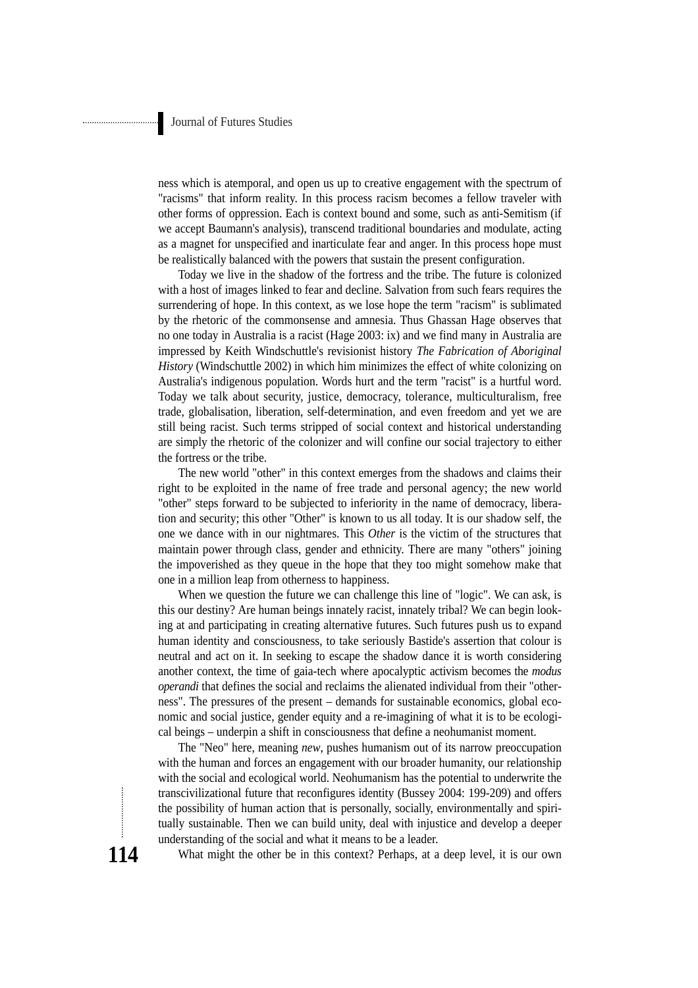ness which is atemporal, and open us up to creative engagement with the spectrum of "racisms" that inform reality. In this process racism becomes a fellow traveler with other forms of oppression. Each is context bound and some, such as anti-Semitism (if we accept Baumann's analysis), transcend traditional boundaries and modulate, acting as a magnet for unspecified and inarticulate fear and anger. In this process hope must be realistically balanced with the powers that sustain the present configuration.

Today we live in the shadow of the fortress and the tribe. The future is colonized with a host of images linked to fear and decline. Salvation from such fears requires the surrendering of hope. In this context, as we lose hope the term "racism" is sublimated by the rhetoric of the commonsense and amnesia. Thus Ghassan Hage observes that no one today in Australia is a racist (Hage 2003: ix) and we find many in Australia are impressed by Keith Windschuttle's revisionist history *The Fabrication of Aboriginal History* (Windschuttle 2002) in which him minimizes the effect of white colonizing on Australia's indigenous population. Words hurt and the term "racist" is a hurtful word. Today we talk about security, justice, democracy, tolerance, multiculturalism, free trade, globalisation, liberation, self-determination, and even freedom and yet we are still being racist. Such terms stripped of social context and historical understanding are simply the rhetoric of the colonizer and will confine our social trajectory to either the fortress or the tribe.

The new world "other" in this context emerges from the shadows and claims their right to be exploited in the name of free trade and personal agency; the new world "other" steps forward to be subjected to inferiority in the name of democracy, liberation and security; this other "Other" is known to us all today. It is our shadow self, the one we dance with in our nightmares. This *Other* is the victim of the structures that maintain power through class, gender and ethnicity. There are many "others" joining the impoverished as they queue in the hope that they too might somehow make that one in a million leap from otherness to happiness.

When we question the future we can challenge this line of "logic". We can ask, is this our destiny? Are human beings innately racist, innately tribal? We can begin looking at and participating in creating alternative futures. Such futures push us to expand human identity and consciousness, to take seriously Bastide's assertion that colour is neutral and act on it. In seeking to escape the shadow dance it is worth considering another context, the time of gaia-tech where apocalyptic activism becomes the *modus operandi* that defines the social and reclaims the alienated individual from their "otherness". The pressures of the present – demands for sustainable economics, global economic and social justice, gender equity and a re-imagining of what it is to be ecological beings – underpin a shift in consciousness that define a neohumanist moment.

The "Neo" here, meaning *new*, pushes humanism out of its narrow preoccupation with the human and forces an engagement with our broader humanity, our relationship with the social and ecological world. Neohumanism has the potential to underwrite the transcivilizational future that reconfigures identity (Bussey 2004: 199-209) and offers the possibility of human action that is personally, socially, environmentally and spiritually sustainable. Then we can build unity, deal with injustice and develop a deeper understanding of the social and what it means to be a leader.

What might the other be in this context? Perhaps, at a deep level, it is our own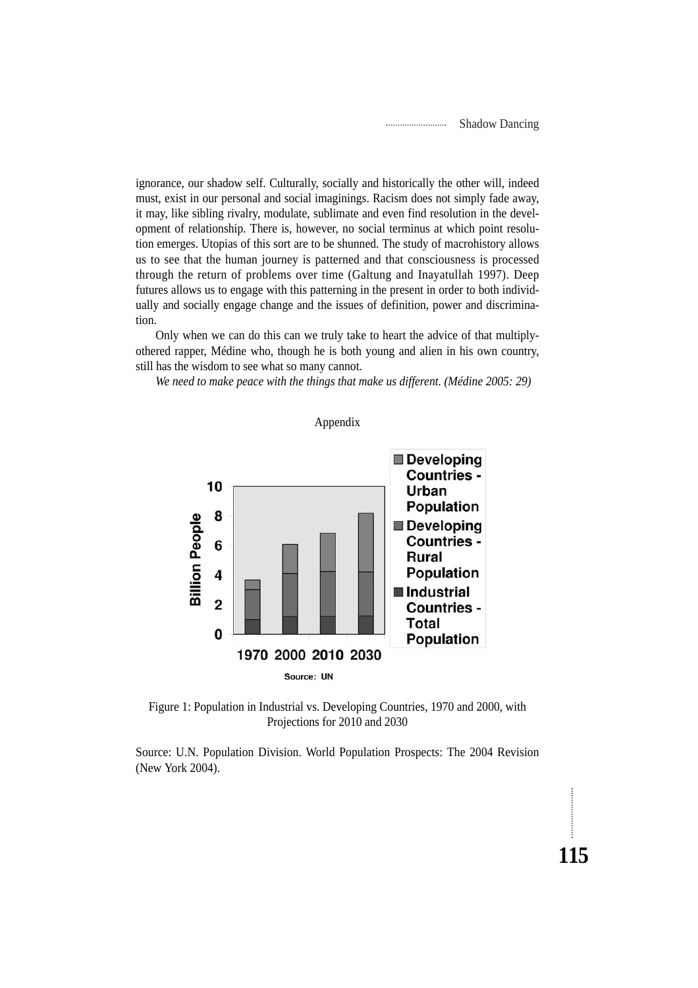**115**

ignorance, our shadow self. Culturally, socially and historically the other will, indeed must, exist in our personal and social imaginings. Racism does not simply fade away, it may, like sibling rivalry, modulate, sublimate and even find resolution in the development of relationship. There is, however, no social terminus at which point resolution emerges. Utopias of this sort are to be shunned. The study of macrohistory allows us to see that the human journey is patterned and that consciousness is processed through the return of problems over time (Galtung and Inayatullah 1997). Deep futures allows us to engage with this patterning in the present in order to both individually and socially engage change and the issues of definition, power and discrimination.

Only when we can do this can we truly take to heart the advice of that multiplyothered rapper, Médine who, though he is both young and alien in his own country, still has the wisdom to see what so many cannot.

*We need to make peace with the things that make us different. (Médine 2005: 29)*



Figure 1: Population in Industrial vs. Developing Countries, 1970 and 2000, with Projections for 2010 and 2030

Source: U.N. Population Division. World Population Prospects: The 2004 Revision (New York 2004).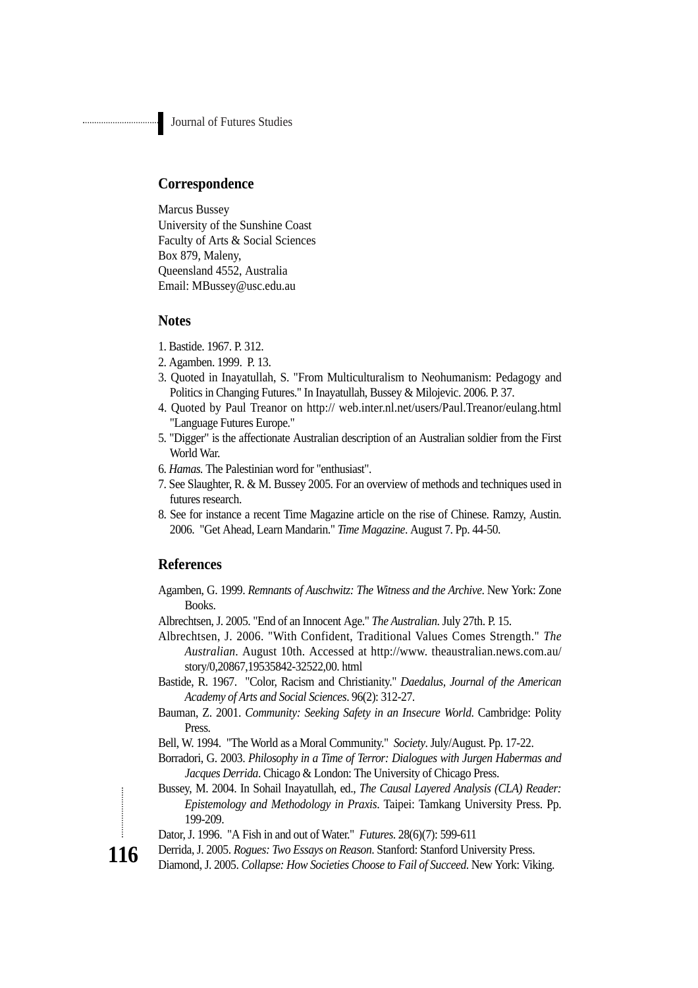## **Correspondence**

Marcus Bussey University of the Sunshine Coast Faculty of Arts & Social Sciences Box 879, Maleny, Queensland 4552, Australia Email: MBussey@usc.edu.au

### **Notes**

- 1. Bastide. 1967. P. 312.
- 2. Agamben. 1999. P. 13.
- 3. Quoted in Inayatullah, S. "From Multiculturalism to Neohumanism: Pedagogy and Politics in Changing Futures." In Inayatullah, Bussey & Milojevic. 2006. P. 37.
- 4. Quoted by Paul Treanor on http:// web.inter.nl.net/users/Paul.Treanor/eulang.html "Language Futures Europe."
- 5. "Digger" is the affectionate Australian description of an Australian soldier from the First World War.
- 6. *Hamas.* The Palestinian word for "enthusiast".
- 7. See Slaughter, R. & M. Bussey 2005. For an overview of methods and techniques used in futures research.
- 8. See for instance a recent Time Magazine article on the rise of Chinese. Ramzy, Austin. 2006. "Get Ahead, Learn Mandarin." *Time Magazine*. August 7. Pp. 44-50.

## **References**

- Agamben, G. 1999. *Remnants of Auschwitz: The Witness and the Archive*. New York: Zone Books.
- Albrechtsen, J. 2005. "End of an Innocent Age." *The Australian*. July 27th. P. 15.
- Albrechtsen, J. 2006. "With Confident, Traditional Values Comes Strength." *The Australian*. August 10th. Accessed at http://www. theaustralian.news.com.au/ story/0,20867,19535842-32522,00. html
- Bastide, R. 1967. "Color, Racism and Christianity." *Daedalus, Journal of the American Academy of Arts and Social Sciences*. 96(2): 312-27.
- Bauman, Z. 2001. *Community: Seeking Safety in an Insecure World*. Cambridge: Polity Press.
- Bell, W. 1994. "The World as a Moral Community." *Society*. July/August. Pp. 17-22.
- Borradori, G. 2003. *Philosophy in a Time of Terror: Dialogues with Jurgen Habermas and Jacques Derrida*. Chicago & London: The University of Chicago Press.
- Bussey, M. 2004. In Sohail Inayatullah, ed., *The Causal Layered Analysis (CLA) Reader: Epistemology and Methodology in Praxis*. Taipei: Tamkang University Press. Pp. 199-209.
- Dator, J. 1996. "A Fish in and out of Water." *Futures*. 28(6)(7): 599-611
- Derrida, J. 2005. *Rogues: Two Essays on Reason*. Stanford: Stanford University Press.
- Diamond, J. 2005. *Collapse: How Societies Choose to Fail of Succeed*. New York: Viking.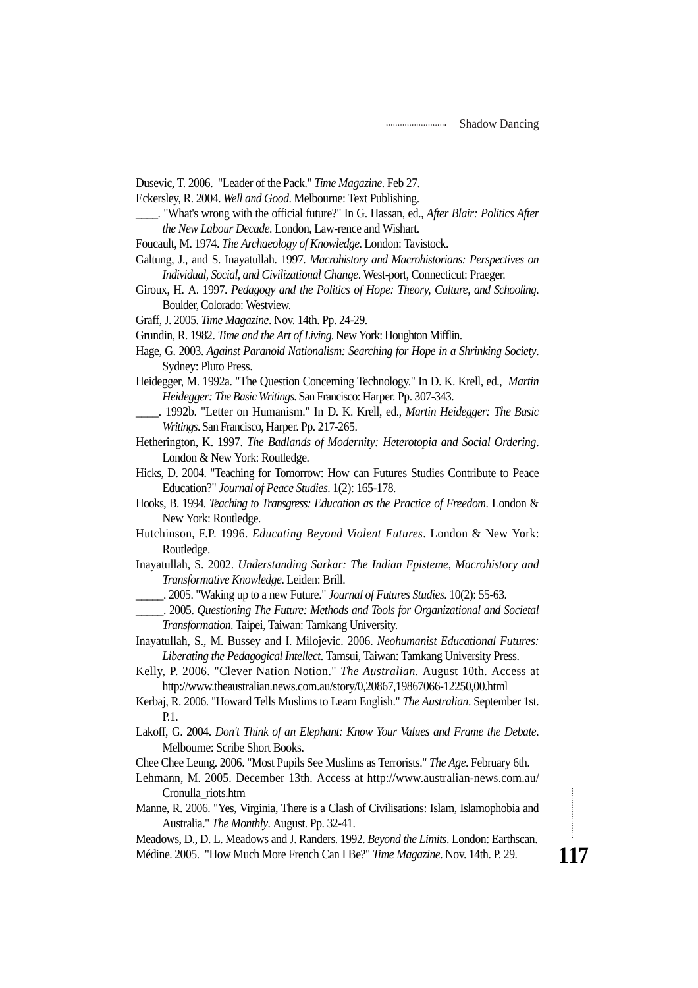Dusevic, T. 2006. "Leader of the Pack." *Time Magazine*. Feb 27.

Eckersley, R. 2004. *Well and Good*. Melbourne: Text Publishing.

- \_\_\_\_. "What's wrong with the official future?" In G. Hassan, ed., *After Blair: Politics After the New Labour Decade*. London, Law-rence and Wishart.
- Foucault, M. 1974. *The Archaeology of Knowledge*. London: Tavistock.
- Galtung, J., and S. Inayatullah. 1997. *Macrohistory and Macrohistorians: Perspectives on Individual, Social, and Civilizational Change*. West-port, Connecticut: Praeger.
- Giroux, H. A. 1997. *Pedagogy and the Politics of Hope: Theory, Culture, and Schooling*. Boulder, Colorado: Westview.
- Graff, J. 2005. *Time Magazine*. Nov. 14th. Pp. 24-29.

Grundin, R. 1982. *Time and the Art of Living*. New York: Houghton Mifflin.

- Hage, G. 2003. *Against Paranoid Nationalism: Searching for Hope in a Shrinking Society*. Sydney: Pluto Press.
- Heidegger, M. 1992a. "The Question Concerning Technology." In D. K. Krell, ed., *Martin Heidegger: The Basic Writings*. San Francisco: Harper. Pp. 307-343.
- \_\_\_\_. 1992b. "Letter on Humanism." In D. K. Krell, ed., *Martin Heidegger: The Basic Writings*. San Francisco, Harper. Pp. 217-265.
- Hetherington, K. 1997. *The Badlands of Modernity: Heterotopia and Social Ordering*. London & New York: Routledge.
- Hicks, D. 2004. "Teaching for Tomorrow: How can Futures Studies Contribute to Peace Education?" *Journal of Peace Studies*. 1(2): 165-178.
- Hooks, B. 1994. *Teaching to Transgress: Education as the Practice of Freedom*. London & New York: Routledge.
- Hutchinson, F.P. 1996. *Educating Beyond Violent Futures*. London & New York: Routledge.
- Inayatullah, S. 2002. *Understanding Sarkar: The Indian Episteme, Macrohistory and Transformative Knowledge*. Leiden: Brill.
	- \_\_\_\_\_. 2005. "Waking up to a new Future." *Journal of Futures Studies*. 10(2): 55-63.
- \_\_\_\_\_. 2005. *Questioning The Future: Methods and Tools for Organizational and Societal Transformation*. Taipei, Taiwan: Tamkang University.
- Inayatullah, S., M. Bussey and I. Milojevic. 2006. *Neohumanist Educational Futures: Liberating the Pedagogical Intellect*. Tamsui, Taiwan: Tamkang University Press.

Kelly, P. 2006. "Clever Nation Notion." *The Australian*. August 10th. Access at http://www.theaustralian.news.com.au/story/0,20867,19867066-12250,00.html

- Kerbaj, R. 2006. "Howard Tells Muslims to Learn English." *The Australian*. September 1st. P.1.
- Lakoff, G. 2004. *Don't Think of an Elephant: Know Your Values and Frame the Debate*. Melbourne: Scribe Short Books.
- Chee Chee Leung. 2006. "Most Pupils See Muslims as Terrorists." *The Age*. February 6th.
- Lehmann, M. 2005. December 13th. Access at http://www.australian-news.com.au/ Cronulla\_riots.htm
- Manne, R. 2006. "Yes, Virginia, There is a Clash of Civilisations: Islam, Islamophobia and Australia." *The Monthly*. August. Pp. 32-41.

Meadows, D., D. L. Meadows and J. Randers. 1992. *Beyond the Limits*. London: Earthscan. Médine. 2005. "How Much More French Can I Be?" *Time Magazine*. Nov. 14th. P. 29.